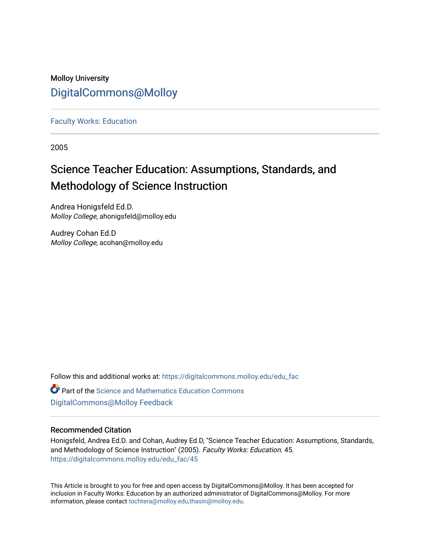## Molloy University [DigitalCommons@Molloy](https://digitalcommons.molloy.edu/)

[Faculty Works: Education](https://digitalcommons.molloy.edu/edu_fac) 

2005

# Science Teacher Education: Assumptions, Standards, and Methodology of Science Instruction

Andrea Honigsfeld Ed.D. Molloy College, ahonigsfeld@molloy.edu

Audrey Cohan Ed.D Molloy College, acohan@molloy.edu

Follow this and additional works at: [https://digitalcommons.molloy.edu/edu\\_fac](https://digitalcommons.molloy.edu/edu_fac?utm_source=digitalcommons.molloy.edu%2Fedu_fac%2F45&utm_medium=PDF&utm_campaign=PDFCoverPages)

**P** Part of the Science and Mathematics Education Commons [DigitalCommons@Molloy Feedback](https://molloy.libwizard.com/f/dcfeedback)

#### Recommended Citation

Honigsfeld, Andrea Ed.D. and Cohan, Audrey Ed.D, "Science Teacher Education: Assumptions, Standards, and Methodology of Science Instruction" (2005). Faculty Works: Education. 45. [https://digitalcommons.molloy.edu/edu\\_fac/45](https://digitalcommons.molloy.edu/edu_fac/45?utm_source=digitalcommons.molloy.edu%2Fedu_fac%2F45&utm_medium=PDF&utm_campaign=PDFCoverPages) 

This Article is brought to you for free and open access by DigitalCommons@Molloy. It has been accepted for inclusion in Faculty Works: Education by an authorized administrator of DigitalCommons@Molloy. For more information, please contact [tochtera@molloy.edu,thasin@molloy.edu.](mailto:tochtera@molloy.edu,thasin@molloy.edu)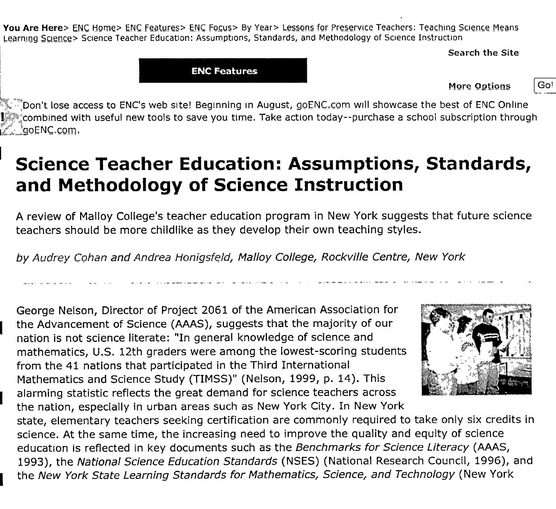You Are Here> ENC Home> ENC Features> ENC Focus> By Year> Lessons for Preservice Teachers; Teaching Science Means Learning Science> Science Teacher Education: Assumptions, Standards, and Methodology of Science Instruction

**Search the Site**

Go!



**More Options** 

 $^\circ$ Don't lose access to ENC's web site! Beginning in August, goENC.com will showcase the best of ENC Online **combined with useful new tools to save you time. Take action today--purchase a school subscription through /goENC.corn,.**

# Science Teacher Education: Assumptions, Standards, and Methodoiogy of Science Instruction

**A review of Malloy College's teacher education program in New York suggests that future science teachers shouid be more childlike as they develop their own teaching styles.**

*by Audrey Cohan and Andrea Honigsfeld, Malloy College, Rockville Centre, New York*

**George Nelson, Director of Project 2061 of the American Association for the Advancement of Science (AAAS), suggests that the majority of our nation is not science literate: "In general knowledge of science and mathematics, U.S. 12th graders were among the lowest-scoring students from the 41 nations that participated in the Third International Mathematics and Science Study (TIMSS)" (Nelson, 1999, p. 14), This alarming statistic reflects the great demand for science teachers across the nation, especially in urban areas such as New York City. In New York**



**state, eiementary teachers seeking certification are commonly required to take only six credits in science. At the same time, the increasing need to improve the quality and equity of science education is reflected in key documents such as the** *Benchmarks for Science Literacy* **(AAAS, 1993), the** *National Science Education Standards* **(NSES) (National Research Council, 1996), and the** *New York State Learning Standards for Mathematics, Science, and Technology* **(New York**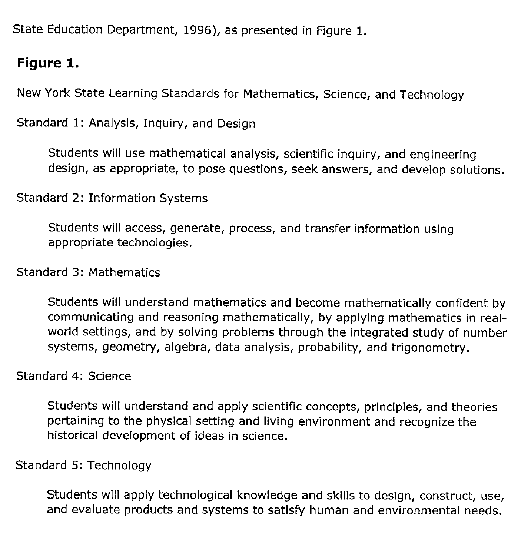**state Education Department, 1996), as presented in Figure 1.**

### Figure 1.

**New York State Learning Standards for Mathematics, Science, and Technoiogy**

**Standard 1: Anaiysis, Inquiry, and Design**

**Students wiii use mathematical analysis, scientific inquiry, and engineering design, as appropriate, to pose questions, seek answers, and develop solutions.**

**Standard 2: Information Systems**

**Students will access, generate, process, and transfer information using appropriate technologies.**

**Standard 3: Mathematics**

**Students will understand mathematics and become mathematically confident by communicating and reasoning mathematically, by applying mathematics in realworld settings, and by solving problems through the integrated study of number systems, geometry, algebra, data analysis, probability, and trigonometry.**

#### **Standard 4: Science**

**Students will understand and apply scientific concepts, principles, and theories pertaining to the physical setting and living environment and recognize the historical development of ideas in science.**

**Standard 5: Technology**

**Students will apply technological knowledge and skills to design, construct, use, and evaluate products and systems to satisfy human and environmental needs.**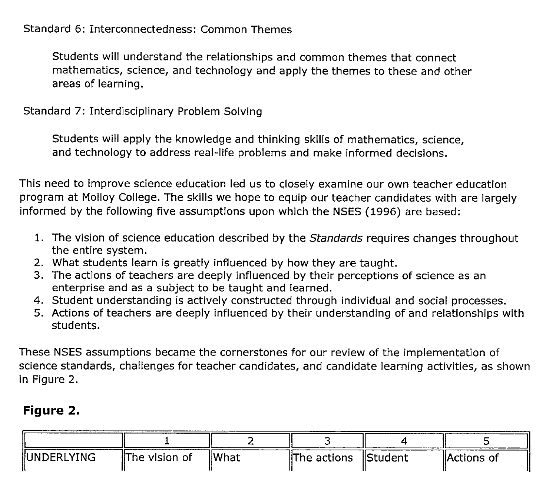**Students will understand the relationships and common themes that connect mathematics, science, and technology and apply the themes to these and other areas of learning.**

**Standard 7: Interdisciplinary Problem Solving**

**Students will apply the knowledge and thinking skills of mathematics, science, and technology to address real-life problems and make informed decisions.**

**This need to improve science education led us to closely examine our own teacher education program at Molloy College. The skills we hope to equip our teacher candidates with are largely informed by the following five assumptions upon which the NSES (1996) are based:**

- **1. The vision of science education described by the** *Standards* **requires changes throughout the entire system.**
- **2. What students learn is greatly influenced by how they are taught.**
- **3. The actions of teachers are deeply influenced by their perceptions of science as an enterprise and as a subject to be taught and learned.**
- **4. Student understanding is actively constructed through individual and social processes.**
- **5. Actions of teachers are deeply influenced by their understanding of and relationships with students.**

**These NSES assumptions became the cornerstones for our review of the implementation of science standards, challenges for teacher candidates, and candidate learning activities, as shown in Figure 2.**

### Figure 2.

| <b>IUNDERLYING</b> | <b>The vision of</b> | <b>IlWhat</b> | <b>The actions IStudent</b> | Actions of |
|--------------------|----------------------|---------------|-----------------------------|------------|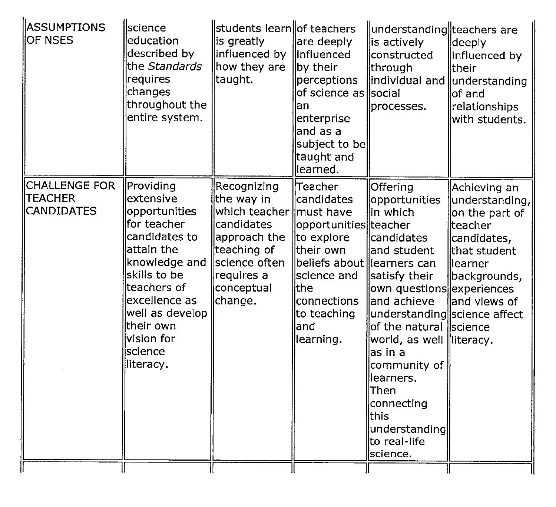| <b>ASSUMPTIONS</b><br><b>OF NSES</b>                        | llscience<br>leducation<br>described by<br>the Standards<br> requires<br>changes<br>throughout the<br>entire system.                                                                                                         | students learn of teachers<br>is greatly<br>influenced by linfluenced<br>how they are<br>taught.                                                | are deeply<br>by their<br>perceptions<br>of science as social<br>lan<br>enterprise<br>and as a<br>subject to be<br>taught and<br>llearned.                                                       | understanding teachers are<br>is actively<br>constructed<br>through<br>lindividual and understanding<br>processes.                                                                                                                                                                                                                                                             | deeply<br>influenced by<br>ltheir<br>lof and<br>relationships<br>with students.                                                          |
|-------------------------------------------------------------|------------------------------------------------------------------------------------------------------------------------------------------------------------------------------------------------------------------------------|-------------------------------------------------------------------------------------------------------------------------------------------------|--------------------------------------------------------------------------------------------------------------------------------------------------------------------------------------------------|--------------------------------------------------------------------------------------------------------------------------------------------------------------------------------------------------------------------------------------------------------------------------------------------------------------------------------------------------------------------------------|------------------------------------------------------------------------------------------------------------------------------------------|
| <b>CHALLENGE FOR</b><br><b>TEACHER</b><br><b>CANDIDATES</b> | Providing<br>extensive<br>opportunities<br>for teacher<br>candidates to<br>attain the<br>knowledge and<br>skills to be<br>teachers of<br>excellence as<br>well as develop<br>their own<br>vision for<br>science<br>literacy. | Recognizing<br>the way in<br>which teacher<br>candidates<br>approach the<br>teaching of<br>science often<br>requires a<br>conceptual<br>change. | Teacher<br>candidates<br>must have<br>opportunities  teacher<br>to explore<br>their own<br>beliefs about llearners can<br>science and<br>lthe<br>connections<br>to teaching<br>land<br>learning. | Offering<br>opportunities<br>llin which<br>candidates<br>and student<br>satisfy their<br>own questions  experiences <br>lland achieve<br>understanding science affect<br>of the natural <i>Science</i><br>world, as well literacy.<br>$\overline{\mathsf{as}}$ in a<br>community of<br>llearners.<br> Then<br>connecting<br>lthis<br>understanding<br>to real-life<br>science. | Achieving an<br>understanding,<br>on the part of<br>lteacher<br>candidates,<br>that student<br>llearner<br>backgrounds,<br>land views of |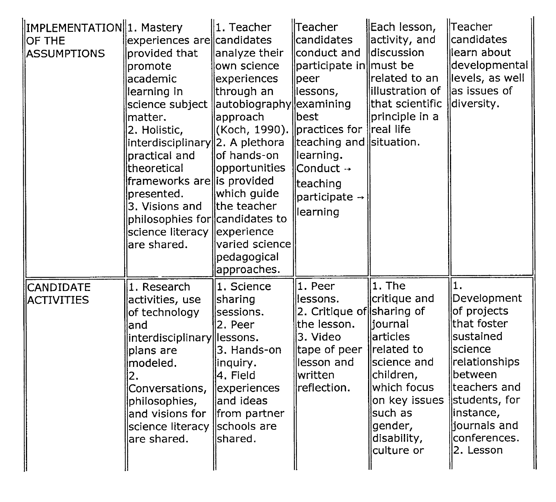| IMPLEMENTATION  1. Mastery<br><b>OF THE</b><br><b>ASSUMPTIONS</b> | experiences are candidates<br>provided that<br>promote<br>academic<br>learning in<br>science subject<br>matter.<br>2. Holistic,<br>interdisciplinary  2. A plethora<br>practical and<br>theoretical<br>frameworks are lis provided<br>presented.<br>3. Visions and<br>philosophies for candidates to<br>science literacy   experience<br>lare shared. | $\parallel$ 1. Teacher<br>analyze their<br>own science<br>experiences<br>through an<br>autobiography<br>approach<br>(Koch, 1990).<br>lof hands-on<br>opportunities<br>which guide<br>lthe teacher<br>varied science<br>pedagogical<br>approaches. | llTeacher<br>candidates<br>conduct and   discussion <br>participate in    must be<br>peer<br>lessons,<br>examining<br>best<br>$\parallel$ practices for $\parallel$ real life<br>teaching and situation.<br>learning.<br>Conduct -+<br>teaching<br>participate $\rightarrow$<br>learning | Each lesson,<br>activity, and<br>related to an<br>lillustration of<br>that scientific<br>principle in a                                                                      | llTeacher<br>candidates<br>llearn about<br>developmental<br>levels, as well<br>as issues of<br>diversity.                                                                                            |
|-------------------------------------------------------------------|-------------------------------------------------------------------------------------------------------------------------------------------------------------------------------------------------------------------------------------------------------------------------------------------------------------------------------------------------------|---------------------------------------------------------------------------------------------------------------------------------------------------------------------------------------------------------------------------------------------------|------------------------------------------------------------------------------------------------------------------------------------------------------------------------------------------------------------------------------------------------------------------------------------------|------------------------------------------------------------------------------------------------------------------------------------------------------------------------------|------------------------------------------------------------------------------------------------------------------------------------------------------------------------------------------------------|
| <b>CANDIDATE</b><br><b>ACTIVITIES</b>                             | 1. Research<br>activities, use<br>of technology<br>land<br>interdisciplinary  lessons.<br>plans are<br>modeled.<br>2.<br>Conversations,<br>philosophies,<br>and visions for<br>science literacy<br>are shared.                                                                                                                                        | 1. Science<br>sharing<br>sessions.<br>2. Peer<br>3. Hands-on<br>inquiry.<br>4. Field<br>experiences<br>and ideas<br>from partner<br>schools are<br>shared.                                                                                        | 1. Peer<br>lessons.<br>2. Critique of sharing of<br>the lesson.<br>3. Video<br>tape of peer<br>lesson and<br>lwritten<br>reflection.                                                                                                                                                     | 1. The<br>critique and<br> iournal<br>larticles<br>related to<br>science and<br>children,<br>which focus<br>on key issues<br>such as<br>gender,<br>disability,<br>culture or | 1.<br>Development<br>of projects<br>that foster<br>lsustained<br>llscience<br>relationships<br>llbetween<br>lteachers and<br>students, for<br>instance,<br>journals and<br>conferences.<br>2. Lesson |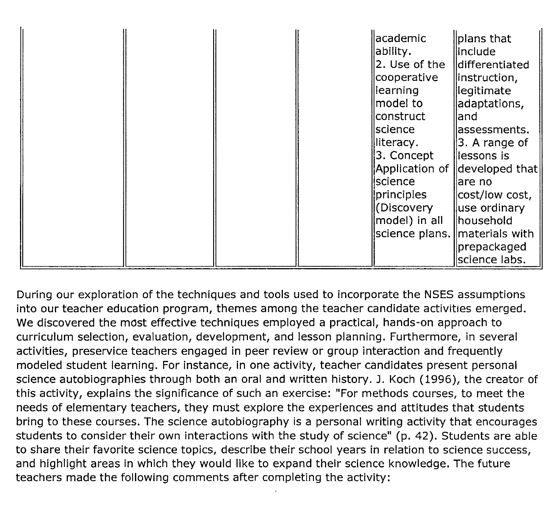|  |  | academic<br>ability.<br>2. Use of the differentiated<br>cooperative<br>llearning<br>model to<br>construct<br>science<br>lliteracy.<br>∥3. Concept<br>$\sf{ }$ science<br>principles!<br>ll(Discovery<br>model) in all   household <br>science plans. materials with | plans that<br>linclude<br>linstruction,<br>llegitimate<br>adaptations,<br>lland<br>llassessments.<br>$ 3.$ A range of<br>llessons is<br>Application of developed that<br>are no<br>cost/low cost,<br>luse ordinary |
|--|--|---------------------------------------------------------------------------------------------------------------------------------------------------------------------------------------------------------------------------------------------------------------------|--------------------------------------------------------------------------------------------------------------------------------------------------------------------------------------------------------------------|
|  |  |                                                                                                                                                                                                                                                                     | prepackaged<br>science labs.                                                                                                                                                                                       |

**During our exploration of the techniques and tools used to incorporate the NSES assumptions into our teacher education program, themes among the teacher candidate activities emerged. We discovered the most effective techniques employed a practical, hands-on approach to curriculum selection, evaluation, development, and lesson planning. Furthermore, in several activities, preservice teachers engaged in peer review or group interaction and frequently modeled student learning. For instance, in one activity, teacher candidates present personal science autobiographies through both an oral and written history. J. Koch (1996), the creator of this activity, explains the significance of such an exercise: "For methods courses, to meet the needs of elementary teachers, they must explore the experiences and attitudes that students bring to these courses. The science autobiography is a personal writing activity that encourages students to consider their own interactions with the study of science" (p. 42). Students are able to share their favorite science topics, describe their school years in relation to science success, and highlight areas in which they would like to expand their science knowledge. The future teachers made the following comments after completing the activity:**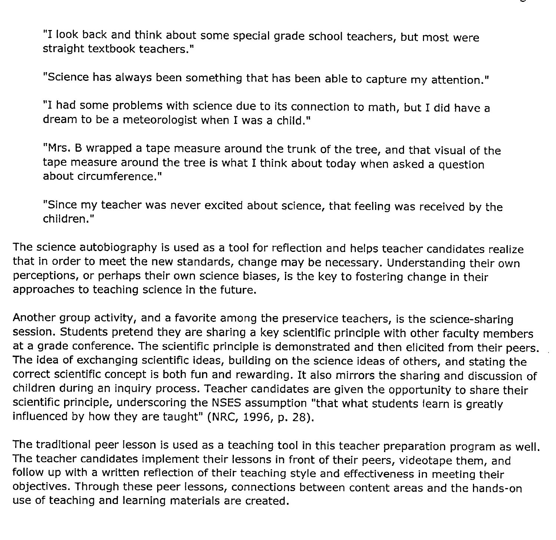**"I look back and think about some special grade school teachers, but most were straight textbook teachers."**

**"Science has always been something that has been able to capture my attention."**

**"I had some problems with science due to its connection to math, but I did have a dream to be a meteorologist when I was a child."**

**"Mrs. B wrapped a tape measure around the trunk of the tree, and that visual of the tape measure around the tree is what I think about today when asked a question about circumference,"**

**"Since my teacher was never excited about science, that feeling was received by the children."**

**The science autobiography is used as a tool for reflection and helps teacher candidates realize that in order to meet the new standards, change may be necessary. Understanding their own perceptions, or perhaps their own science biases, is the key to fostering change in their approaches to teaching science in the future.**

**Another group activity, and a favorite among the preservice teachers, is the science-sharing session. Students pretend they are sharing a key scientific principle with other faculty members at a grade conference. The scientific principle is demonstrated and then elicited from their peers. The idea of exchanging scientific ideas, building on the science ideas of others, and stating the correct scientific concept is both fun and rewarding. It also mirrors the sharing and discussion of children during an inquiry process. Teacher candidates are given the opportunity to share their scientific principle, underscoring the NSES assumption "that what students learn is greatly influenced by how they are taught" (NRC, 1996, p. 28).**

**The traditional peer lesson is used as a teaching tool in this teacher preparation program as well. The teacher candidates implement their lessons in front of their peers, videotape them, and follow up with a written reflection of their teaching style and effectiveness in meeting their objectives. Through these peer lessons, connections between content areas and the hands-on use of teaching and learning materials are created.**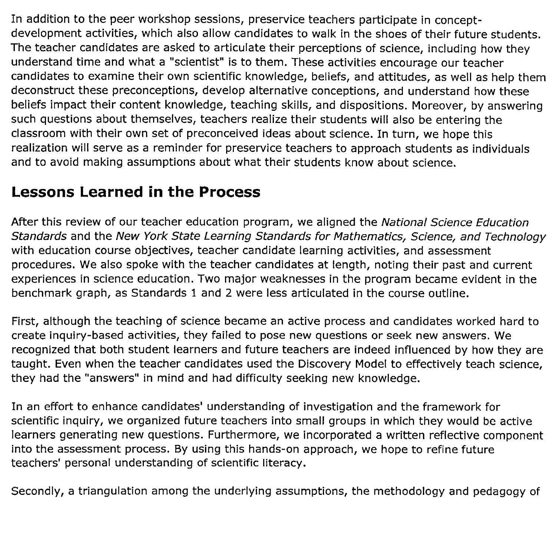**In addition to the peer workshop sessions, preservice teachers participate in conceptdevelopment activities, which also allow candidates to walk in the shoes of their future students. The teacher candidates are asked to articulate their perceptions of science, including how they understand time and what a "scientist" is to them. These activities encourage our teacher candidates to examine their own scientific knowledge, beliefs, and attitudes, as well as help them deconstruct these preconceptions, develop alternative conceptions, and understand how these beliefs impact their content knowledge, teaching skills, and dispositions. Moreover, by answering such questions about themselves, teachers realize their students will also be entering the classroom with their own set of preconceived ideas about science. In turn, we hope this realization will serve as a reminder for preservice teachers to approach students as individuals and to avoid making assumptions about what their students know about science.**

## **Lessons Learned in the Process**

**After this review of our teacher education program, we aligned the** *National Science Education Standards* **and the** *New York State Learning Standards for Mathematics, Science, and Technology* **with education course objectives, teacher candidate learning activities, and assessment procedures. We also spoke with the teacher candidates at length, noting their past and current experiences in science education. Two major weaknesses in the program became evident in the benchmark graph, as Standards <sup>1</sup> and 2 were less articulated in the course outline.**

**First, although the teaching of science became an active process and candidates worked hard to create inquiry-based activities, they failed to pose new questions or seek new answers. We recognized that both student learners and future teachers are indeed influenced by how they are taught. Even when the teacher candidates used the Discovery Model to effectively teach science, they had the "answers" in mind and had difficulty seeking new knowledge.**

**In an effort to enhance candidates' understanding of investigation and the framework for scientific inquiry, we organized future teachers into small groups in which they would be active learners generating new questions. Furthermore, we incorporated a written reflective component into the assessment process. By using this hands-on approach, we hope to refine future teachers' personal understanding of scientific literacy.**

**Secondly, a triangulation among the underlying assumptions, the methodology and pedagogy of**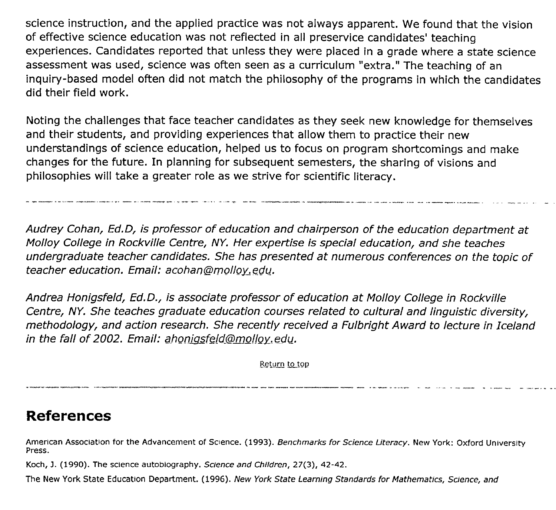**science instruction, and the applied practice was not always apparent. We found that the vision of effective science education was not reflected in all preservice candidates' teaching experiences. Candidates reported that unless they were placed in a grade where a state science assessment was used, science was often seen as a curriculum "extra." The teaching of an inquiry-based model often did not match the philosophy of the programs in which the candidates did their field work.**

**Noting the challenges that face teacher candidates as they seek new knowledge for themselves and their students, and providing experiences that allow them to practice their new understandings of science education, helped us to focus on program shortcomings and make changes for the future. In planning for subsequent semesters, the sharing of visions and philosophies will take a greater role as we strive for scientific literacy.**

*Audrey Cohan, Ed.D, is professor of education and chairperson of the education department at Moiloy College in Rockville Centre, NY. Her expertise is special education, and she teaches undergraduate teacher candidates. She has presented at numerous conferences on the topic of teacher education. Email: acohan@molloy\_\_.edu.*

*Andrea Honigsfeld, Ed.D., is associate professor of education at Moiloy College in Rockville Centre, NY. She teaches graduate education courses related to cultural and linguistic diversity, methodology, and action research. She recently received a Fulbright Award to lecture in Iceland in the fall of 2002. Email: ahoniasfeld@mollov. edu.*

**Return to too**

**References**

American Association for the Advancement of Science. (1993). *Benchmarks for Science Literacy.* New York: Oxford University Press.

Koch, J. (1990). The science autobiography. *Science and Chiidren,* 27(3), 42-42.

The New York State Education Department. (1996). *New York State Learning Standards for Mathematics, Science, and*